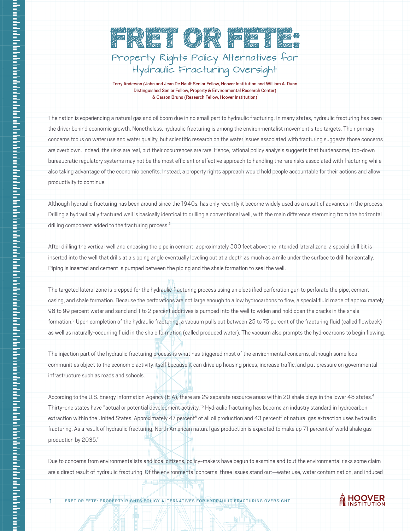

Terry Anderson (John and Jean De Nault Senior Fellow, Hoover Institution and William A. Dunn Distinguished Senior Fellow, Property & Environmental Research Center) & Carson Bruno (Research Fellow, Hoover Institution)<sup>1</sup>

The nation is experiencing a natural gas and oil boom due in no small part to hydraulic fracturing. In many states, hydraulic fracturing has been the driver behind economic growth. Nonetheless, hydraulic fracturing is among the environmentalist movement's top targets. Their primary concerns focus on water use and water quality, but scientific research on the water issues associated with fracturing suggests those concerns are overblown. Indeed, the risks are real, but their occurrences are rare. Hence, rational policy analysis suggests that burdensome, top-down bureaucratic regulatory systems may not be the most efficient or effective approach to handling the rare risks associated with fracturing while also taking advantage of the economic benefits. Instead, a property rights approach would hold people accountable for their actions and allow productivity to continue.

Although hydraulic fracturing has been around since the 1940s, has only recently it become widely used as a result of advances in the process. Drilling a hydraulically fractured well is basically identical to drilling a conventional well, with the main difference stemming from the horizontal drilling component added to the fracturing process.<sup>2</sup>

After drilling the vertical well and encasing the pipe in cement, approximately 500 feet above the intended lateral zone, a special drill bit is inserted into the well that drills at a sloping angle eventually leveling out at a depth as much as a mile under the surface to drill horizontally. Piping is inserted and cement is pumped between the piping and the shale formation to seal the well.

ntahah kalentah dia kalentahan kalentahan di kalentahan di kalentahan di kalentahan di kalentahan di kalentahan di kalentahan di kalentahan di kalentahan di kalentahan di kalentahan di k

i<br>I<br>I

The targeted lateral zone is prepped for the hydraulic fracturing process using an electrified perforation gun to perforate the pipe, cement casing, and shale formation. Because the perforations are not large enough to allow hydrocarbons to flow, a special fluid made of approximately 98 to 99 percent water and sand and 1 to 2 percent additives is pumped into the well to widen and hold open the cracks in the shale formation.<sup>3</sup> Upon completion of the hydraulic fracturing, a vacuum pulls out between 25 to 75 percent of the fracturing fluid (called flowback) as well as naturally-occurring fluid in the shale formation (called produced water). The vacuum also prompts the hydrocarbons to begin flowing.

The injection part of the hydraulic fracturing process is what has triggered most of the environmental concerns, although some local communities object to the economic activity itself because it can drive up housing prices, increase traffic, and put pressure on governmental infrastructure such as roads and schools.

According to the U.S. Energy Information Agency (EIA), there are 29 separate resource areas within 20 shale plays in the lower 48 states.<sup>4</sup> Thirty-one states have "actual or potential development activity."<sup>5</sup> Hydraulic fracturing has become an industry standard in hydrocarbon extraction within the United States. Approximately 47 percent<sup>6</sup> of all oil production and 43 percent<sup>7</sup> of natural gas extraction uses hydraulic fracturing. As a result of hydraulic fracturing, North American natural gas production is expected to make up 71 percent of world shale gas production by 2035.<sup>8</sup>

Due to concerns from environmentalists and local citizens, policy-makers have begun to examine and tout the environmental risks some claim are a direct result of hydraulic fracturing. Of the environmental concerns, three issues stand out—water use, water contamination, and induced

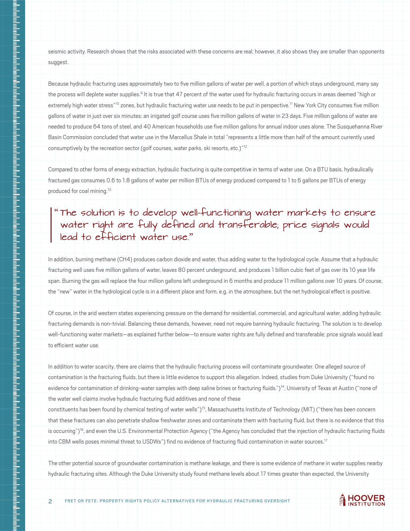seismic activity. Research shows that the risks associated with these concerns are real; however, it also shows they are smaller than opponents suggest.

Because hydraulic fracturing uses approximately two to five million gallons of water per well, a portion of which stays underground, many say the process will deplete water supplies.<sup>9</sup> It is true that 47 percent of the water used for hydraulic fracturing occurs in areas deemed "high or extremely high water stress"<sup>10</sup> zones, but hydraulic fracturing water use needs to be put in perspective.<sup>11</sup> New York City consumes five million gallons of water in just over six minutes; an irrigated golf course uses five million gallons of water in 23 days. Five million gallons of water are needed to produce 64 tons of steel, and 40 American households use five million gallons for annual indoor uses alone. The Susquehanna River Basin Commission concluded that water use in the Marcellus Shale in total "represents a little more than half of the amount currently used consumptively by the recreation sector (golf courses, water parks, ski resorts, etc.)"<sup>12</sup>

Compared to other forms of energy extraction, hydraulic fracturing is quite competitive in terms of water use. On a BTU basis, hydraulically fractured gas consumes 0.6 to 1.8 gallons of water per million BTUs of energy produced compared to 1 to 6 gallons per BTUs of energy produced for coal mining.13

## The solution is to develop well-functioning water markets to ensure water right are fully defined and transferable; price signals would lead to efficient water use."

In addition, burning methane (CH4) produces carbon dioxide and water, thus adding water to the hydrological cycle. Assume that a hydraulic fracturing well uses five million gallons of water, leaves 80 percent underground, and produces 1 billion cubic feet of gas over its 10 year life span. Burning the gas will replace the four million gallons left underground in 6 months and produce 11 million gallons over 10 years. Of course, the "new" water in the hydrological cycle is in a different place and form, e.g. in the atmosphere, but the net hydrological effect is positive.

i<br>!<br>!

Of course, in the arid western states experiencing pressure on the demand for residential, commercial, and agricultural water, adding hydraulic fracturing demands is non-trivial. Balancing these demands, however, need not require banning hydraulic fracturing. The solution is to develop well-functioning water markets—as explained further below—to ensure water rights are fully defined and transferable; price signals would lead to efficient water use.

In addition to water scarcity, there are claims that the hydraulic fracturing process will contaminate groundwater. One alleged source of contamination is the fracturing fluids, but there is little evidence to support this allegation. Indeed, studies from Duke University ("found no evidence for contamination of drinking-water samples with deep saline brines or fracturing fluids.")<sup>14</sup>, University of Texas at Austin ("none of the water well claims involve hydraulic fracturing fluid additives and none of these

constituents has been found by chemical testing of water wells")15, Massachusetts Institute of Technology (MIT) ("there has been concern that these fractures can also penetrate shallow freshwater zones and contaminate them with fracturing fluid, but there is no evidence that this is occurring")<sup>16</sup>, and even the U.S. Environmental Protection Agency ("the Agency has concluded that the injection of hydraulic fracturing fluids into CBM wells poses minimal threat to USDWs") find no evidence of fracturing fluid contamination in water sources.<sup>17</sup>

The other potential source of groundwater contamination is methane leakage, and there is some evidence of methane in water supplies nearby hydraulic fracturing sites. Although the Duke University study found methane levels about 17 times greater than expected, the University

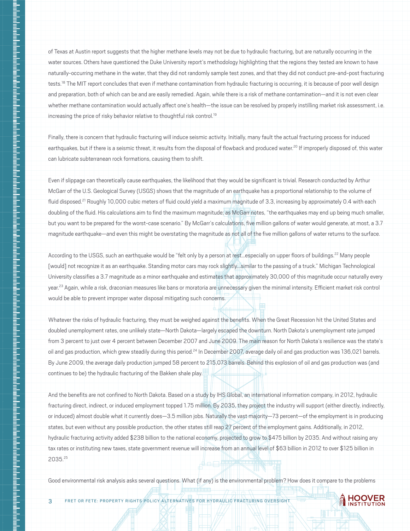of Texas at Austin report suggests that the higher methane levels may not be due to hydraulic fracturing, but are naturally occurring in the water sources. Others have questioned the Duke University report's methodology highlighting that the regions they tested are known to have naturally-occurring methane in the water, that they did not randomly sample test zones, and that they did not conduct pre-and-post fracturing tests.<sup>18</sup> The MIT report concludes that even if methane contamination from hydraulic fracturing is occurring, it is because of poor well design and preparation, both of which can be and are easily remedied. Again, while there is a risk of methane contamination—and it is not even clear whether methane contamination would actually affect one's health—the issue can be resolved by properly instilling market risk assessment, i.e. increasing the price of risky behavior relative to thoughtful risk control.<sup>19</sup>

Finally, there is concern that hydraulic fracturing will induce seismic activity. Initially, many fault the actual fracturing process for induced earthquakes, but if there is a seismic threat, it results from the disposal of flowback and produced water.<sup>20</sup> If improperly disposed of, this water can lubricate subterranean rock formations, causing them to shift.

Even if slippage can theoretically cause earthquakes, the likelihood that they would be significant is trivial. Research conducted by Arthur McGarr of the U.S. Geological Survey (USGS) shows that the magnitude of an earthquake has a proportional relationship to the volume of fluid disposed.<sup>21</sup> Roughly 10,000 cubic meters of fluid could yield a maximum magnitude of 3.3, increasing by approximately 0.4 with each doubling of the fluid. His calculations aim to find the maximum magnitude; as McGarr notes, "the earthquakes may end up being much smaller, but you want to be prepared for the worst-case scenario." By McGarr's calculations, five million gallons of water would generate, at most, a 3.7 magnitude earthquake—and even this might be overstating the magnitude as not all of the five million gallons of water returns to the surface.

According to the USGS, such an earthquake would be "felt only by a person at rest...especially on upper floors of buildings.<sup>22</sup> Many people [would] not recognize it as an earthquake. Standing motor cars may rock slightly...similar to the passing of a truck." Michigan Technological University classifies a 3.7 magnitude as a minor earthquake and estimates that approximately 30,000 of this magnitude occur naturally every year.<sup>23</sup> Again, while a risk, draconian measures like bans or moratoria are unnecessary given the minimal intensity. Efficient market risk control would be able to prevent improper water disposal mitigating such concerns.

Whatever the risks of hydraulic fracturing, they must be weighed against the benefits. When the Great Recession hit the United States and doubled unemployment rates, one unlikely state—North Dakota—largely escaped the downturn. North Dakota's unemployment rate jumped from 3 percent to just over 4 percent between December 2007 and June 2009. The main reason for North Dakota's resilience was the state's oil and gas production, which grew steadily during this period.<sup>24</sup> In December 2007, average daily oil and gas production was 136,021 barrels. By June 2009, the average daily production jumped 58 percent to 215,073 barrels. Behind this explosion of oil and gas production was (and continues to be) the hydraulic fracturing of the Bakken shale play.

And the benefits are not confined to North Dakota. Based on a study by IHS Global, an international information company, in 2012, hydraulic fracturing direct, indirect, or induced employment topped 1.75 million. By 2035, they project the industry will support (either directly, indirectly, or induced) almost double what it currently does—3.5 million jobs. Naturally the vast majority—73 percent—of the employment is in producing states, but even without any possible production, the other states still reap 27 percent of the employment gains. Additionally, in 2012, hydraulic fracturing activity added \$238 billion to the national economy, projected to grow to \$475 billion by 2035. And without raising any tax rates or instituting new taxes, state government revenue will increase from an annual level of \$63 billion in 2012 to over \$125 billion in 2035.25

Good environmental risk analysis asks several questions. What (if any) is the environmental problem? How does it compare to the problems

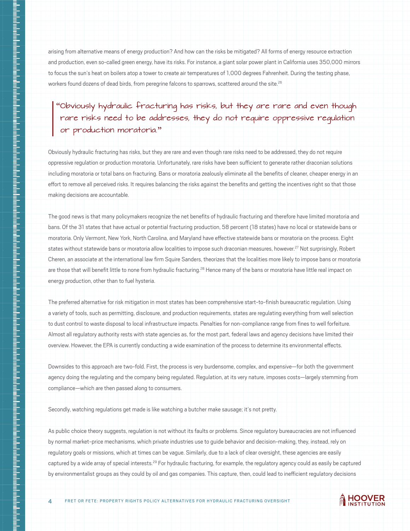arising from alternative means of energy production? And how can the risks be mitigated? All forms of energy resource extraction and production, even so-called green energy, have its risks. For instance, a giant solar power plant in California uses 350,000 mirrors to focus the sun's heat on boilers atop a tower to create air temperatures of 1,000 degrees Fahrenheit. During the testing phase, workers found dozens of dead birds, from peregrine falcons to sparrows, scattered around the site.<sup>26</sup>

## Obviously hydraulic fracturing has risks, but they are rare and even though rare risks need to be addresses, they do not require oppressive regulation or production moratoria.

Obviously hydraulic fracturing has risks, but they are rare and even though rare risks need to be addressed, they do not require oppressive regulation or production moratoria. Unfortunately, rare risks have been sufficient to generate rather draconian solutions including moratoria or total bans on fracturing. Bans or moratoria zealously eliminate all the benefits of cleaner, cheaper energy in an effort to remove all perceived risks. It requires balancing the risks against the benefits and getting the incentives right so that those making decisions are accountable.

The good news is that many policymakers recognize the net benefits of hydraulic fracturing and therefore have limited moratoria and bans. Of the 31 states that have actual or potential fracturing production, 58 percent (18 states) have no local or statewide bans or moratoria. Only Vermont, New York, North Carolina, and Maryland have effective statewide bans or moratoria on the process. Eight states without statewide bans or moratoria allow localities to impose such draconian measures, however.<sup>27</sup> Not surprisingly, Robert Cheren, an associate at the international law firm Squire Sanders, theorizes that the localities more likely to impose bans or moratoria are those that will benefit little to none from hydraulic fracturing.<sup>28</sup> Hence many of the bans or moratoria have little real impact on energy production, other than to fuel hysteria.

The preferred alternative for risk mitigation in most states has been comprehensive start-to-finish bureaucratic regulation. Using a variety of tools, such as permitting, disclosure, and production requirements, states are regulating everything from well selection to dust control to waste disposal to local infrastructure impacts. Penalties for non-compliance range from fines to well forfeiture. Almost all regulatory authority rests with state agencies as, for the most part, federal laws and agency decisions have limited their overview. However, the EPA is currently conducting a wide examination of the process to determine its environmental effects.

Downsides to this approach are two-fold. First, the process is very burdensome, complex, and expensive—for both the government agency doing the regulating and the company being regulated. Regulation, at its very nature, imposes costs—largely stemming from compliance—which are then passed along to consumers.

Secondly, watching regulations get made is like watching a butcher make sausage; it's not pretty.

As public choice theory suggests, regulation is not without its faults or problems. Since regulatory bureaucracies are not influenced by normal market-price mechanisms, which private industries use to guide behavior and decision-making, they, instead, rely on regulatory goals or missions, which at times can be vague. Similarly, due to a lack of clear oversight, these agencies are easily captured by a wide array of special interests.<sup>29</sup> For hydraulic fracturing, for example, the regulatory agency could as easily be captured by environmentalist groups as they could by oil and gas companies. This capture, then, could lead to inefficient regulatory decisions

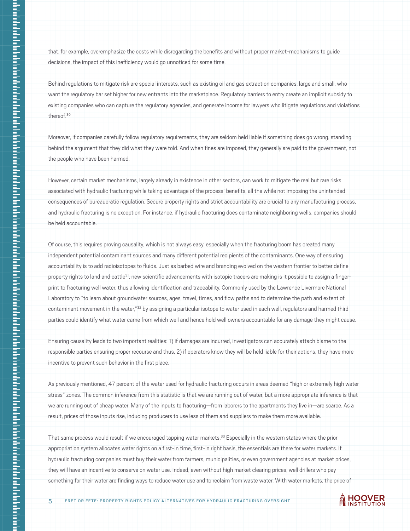that, for example, overemphasize the costs while disregarding the benefits and without proper market-mechanisms to guide decisions, the impact of this inefficiency would go unnoticed for some time.

Behind regulations to mitigate risk are special interests, such as existing oil and gas extraction companies, large and small, who want the regulatory bar set higher for new entrants into the marketplace. Regulatory barriers to entry create an implicit subsidy to existing companies who can capture the regulatory agencies, and generate income for lawyers who litigate regulations and violations thereof.30

Moreover, if companies carefully follow regulatory requirements, they are seldom held liable if something does go wrong, standing behind the argument that they did what they were told. And when fines are imposed, they generally are paid to the government, not the people who have been harmed.

However, certain market mechanisms, largely already in existence in other sectors, can work to mitigate the real but rare risks associated with hydraulic fracturing while taking advantage of the process' benefits, all the while not imposing the unintended consequences of bureaucratic regulation. Secure property rights and strict accountability are crucial to any manufacturing process, and hydraulic fracturing is no exception. For instance, if hydraulic fracturing does contaminate neighboring wells, companies should be held accountable.

Of course, this requires proving causality, which is not always easy, especially when the fracturing boom has created many independent potential contaminant sources and many different potential recipients of the contaminants. One way of ensuring accountability is to add radioisotopes to fluids. Just as barbed wire and branding evolved on the western frontier to better define property rights to land and cattle<sup>31</sup>, new scientific advancements with isotopic tracers are making is it possible to assign a fingerprint to fracturing well water, thus allowing identification and traceability. Commonly used by the Lawrence Livermore National Laboratory to "to learn about groundwater sources, ages, travel, times, and flow paths and to determine the path and extent of contaminant movement in the water,"<sup>32</sup> by assigning a particular isotope to water used in each well, regulators and harmed third parties could identify what water came from which well and hence hold well owners accountable for any damage they might cause.

Ensuring causality leads to two important realities: 1) if damages are incurred, investigators can accurately attach blame to the responsible parties ensuring proper recourse and thus, 2) if operators know they will be held liable for their actions, they have more incentive to prevent such behavior in the first place.

As previously mentioned, 47 percent of the water used for hydraulic fracturing occurs in areas deemed "high or extremely high water stress" zones. The common inference from this statistic is that we are running out of water, but a more appropriate inference is that we are running out of cheap water. Many of the inputs to fracturing—from laborers to the apartments they live in—are scarce. As a result, prices of those inputs rise, inducing producers to use less of them and suppliers to make them more available.

That same process would result if we encouraged tapping water markets.<sup>33</sup> Especially in the western states where the prior appropriation system allocates water rights on a first-in time, first-in right basis, the essentials are there for water markets. If hydraulic fracturing companies must buy their water from farmers, municipalities, or even government agencies at market prices, they will have an incentive to conserve on water use. Indeed, even without high market clearing prices, well drillers who pay something for their water are finding ways to reduce water use and to reclaim from waste water. With water markets, the price of

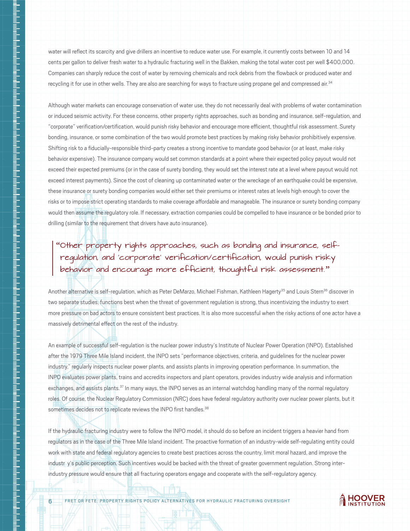water will reflect its scarcity and give drillers an incentive to reduce water use. For example, it currently costs between 10 and 14 cents per gallon to deliver fresh water to a hydraulic fracturing well in the Bakken, making the total water cost per well \$400,000. Companies can sharply reduce the cost of water by removing chemicals and rock debris from the flowback or produced water and recycling it for use in other wells. They are also are searching for ways to fracture using propane gel and compressed air.<sup>34</sup>

Although water markets can encourage conservation of water use, they do not necessarily deal with problems of water contamination or induced seismic activity. For these concerns, other property rights approaches, such as bonding and insurance, self-regulation, and "corporate" verification/certification, would punish risky behavior and encourage more efficient, thoughtful risk assessment. Surety bonding, insurance, or some combination of the two would promote best practices by making risky behavior prohibitively expensive. Shifting risk to a fiducially-responsible third-party creates a strong incentive to mandate good behavior (or at least, make risky behavior expensive). The insurance company would set common standards at a point where their expected policy payout would not exceed their expected premiums (or in the case of surety bonding, they would set the interest rate at a level where payout would not exceed interest payments). Since the cost of cleaning up contaminated water or the wreckage of an earthquake could be expensive, these insurance or surety bonding companies would either set their premiums or interest rates at levels high enough to cover the risks or to impose strict operating standards to make coverage affordable and manageable. The insurance or surety bonding company would then assume the regulatory role. If necessary, extraction companies could be compelled to have insurance or be bonded prior to drilling (similar to the requirement that drivers have auto insurance).

## Other property rights approaches, such as bonding and insurance, selfregulation, and 'corporate' verification/certification, would punish risky behavior and encourage more efficient, thoughtful risk assessment."

ntahah kalentahan dengan kalentahan dengan hari dalah dalah dari dalah dalah dari dah dah dah dah dah dah dah d

Another alternative is self-regulation, which as Peter DeMarzo, Michael Fishman, Kathleen Hagerty<sup>35</sup> and Louis Stern<sup>36</sup> discover in two separate studies, functions best when the threat of government regulation is strong, thus incentivizing the industry to exert more pressure on bad actors to ensure consistent best practices. It is also more successful when the risky actions of one actor have a massively detrimental effect on the rest of the industry.

An example of successful self-regulation is the nuclear power industry's Institute of Nuclear Power Operation (INPO). Established after the 1979 Three Mile Island incident, the INPO sets "performance objectives, criteria, and guidelines for the nuclear power industry," regularly inspects nuclear power plants, and assists plants in improving operation performance. In summation, the INPO evaluates power plants, trains and accredits inspectors and plant operators, provides industry wide analysis and information exchanges, and assists plants.<sup>37</sup> In many ways, the INPO serves as an internal watchdog handling many of the normal regulatory roles. Of course, the Nuclear Regulatory Commission (NRC) does have federal regulatory authority over nuclear power plants, but it sometimes decides not to replicate reviews the INPO first handles.<sup>38</sup>

If the hydraulic fracturing industry were to follow the INPO model, it should do so before an incident triggers a heavier hand from regulators as in the case of the Three Mile Island incident. The proactive formation of an industry-wide self-regulating entity could work with state and federal regulatory agencies to create best practices across the country, limit moral hazard, and improve the industr y's public perception. Such incentives would be backed with the threat of greater government regulation. Strong interindustry pressure would ensure that all fracturing operators engage and cooperate with the self-regulatory agency.

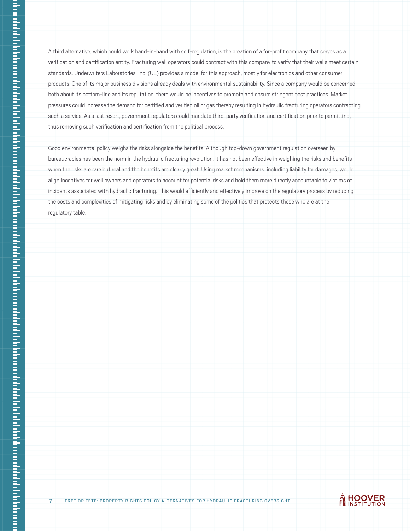A third alternative, which could work hand-in-hand with self-regulation, is the creation of a for-profit company that serves as a verification and certification entity. Fracturing well operators could contract with this company to verify that their wells meet certain standards. Underwriters Laboratories, Inc. (UL) provides a model for this approach, mostly for electronics and other consumer products. One of its major business divisions already deals with environmental sustainability. Since a company would be concerned both about its bottom-line and its reputation, there would be incentives to promote and ensure stringent best practices. Market pressures could increase the demand for certified and verified oil or gas thereby resulting in hydraulic fracturing operators contracting such a service. As a last resort, government regulators could mandate third-party verification and certification prior to permitting, thus removing such verification and certification from the political process.

Good environmental policy weighs the risks alongside the benefits. Although top-down government regulation overseen by bureaucracies has been the norm in the hydraulic fracturing revolution, it has not been effective in weighing the risks and benefits when the risks are rare but real and the benefits are clearly great. Using market mechanisms, including liability for damages, would align incentives for well owners and operators to account for potential risks and hold them more directly accountable to victims of incidents associated with hydraulic fracturing. This would efficiently and effectively improve on the regulatory process by reducing the costs and complexities of mitigating risks and by eliminating some of the politics that protects those who are at the regulatory table.